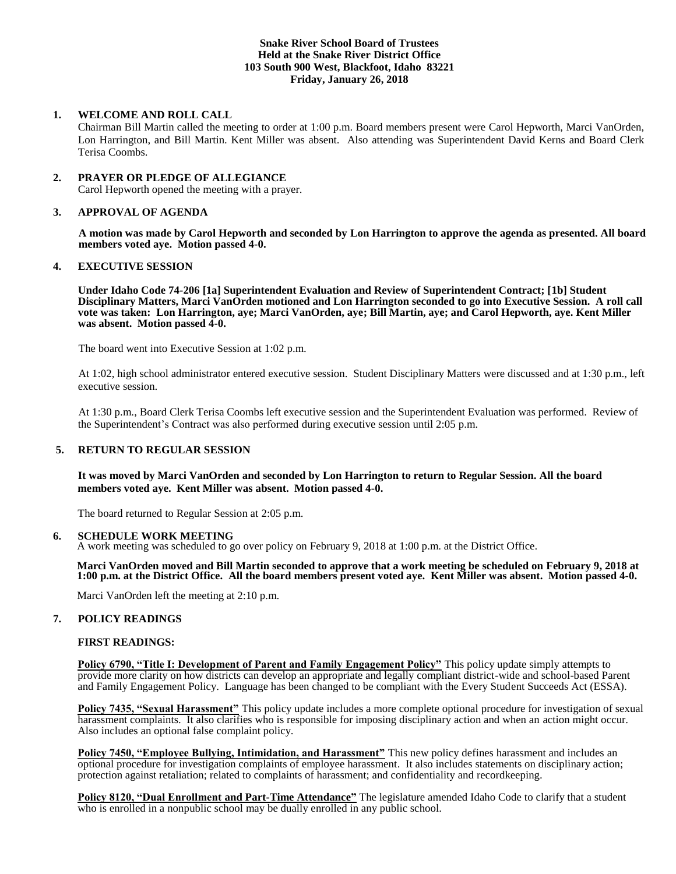## **Snake River School Board of Trustees Held at the Snake River District Office 103 South 900 West, Blackfoot, Idaho 83221 Friday, January 26, 2018**

## **1. WELCOME AND ROLL CALL**

Chairman Bill Martin called the meeting to order at 1:00 p.m. Board members present were Carol Hepworth, Marci VanOrden, Lon Harrington, and Bill Martin. Kent Miller was absent. Also attending was Superintendent David Kerns and Board Clerk Terisa Coombs.

### **2. PRAYER OR PLEDGE OF ALLEGIANCE**

Carol Hepworth opened the meeting with a prayer.

### **3. APPROVAL OF AGENDA**

**A motion was made by Carol Hepworth and seconded by Lon Harrington to approve the agenda as presented. All board members voted aye. Motion passed 4-0.**

## **4. EXECUTIVE SESSION**

**Under Idaho Code 74-206 [1a] Superintendent Evaluation and Review of Superintendent Contract; [1b] Student Disciplinary Matters, Marci VanOrden motioned and Lon Harrington seconded to go into Executive Session. A roll call vote was taken: Lon Harrington, aye; Marci VanOrden, aye; Bill Martin, aye; and Carol Hepworth, aye. Kent Miller was absent. Motion passed 4-0.** 

The board went into Executive Session at 1:02 p.m.

At 1:02, high school administrator entered executive session. Student Disciplinary Matters were discussed and at 1:30 p.m., left executive session.

At 1:30 p.m., Board Clerk Terisa Coombs left executive session and the Superintendent Evaluation was performed. Review of the Superintendent's Contract was also performed during executive session until 2:05 p.m.

# **5. RETURN TO REGULAR SESSION**

**It was moved by Marci VanOrden and seconded by Lon Harrington to return to Regular Session. All the board members voted aye. Kent Miller was absent. Motion passed 4-0.** 

The board returned to Regular Session at 2:05 p.m.

#### **6. SCHEDULE WORK MEETING**

A work meeting was scheduled to go over policy on February 9, 2018 at 1:00 p.m. at the District Office.

#### **Marci VanOrden moved and Bill Martin seconded to approve that a work meeting be scheduled on February 9, 2018 at 1:00 p.m. at the District Office. All the board members present voted aye. Kent Miller was absent. Motion passed 4-0.**

Marci VanOrden left the meeting at 2:10 p.m.

### **7. POLICY READINGS**

#### **FIRST READINGS:**

**Policy 6790, "Title I: Development of Parent and Family Engagement Policy"** This policy update simply attempts to provide more clarity on how districts can develop an appropriate and legally compliant district-wide and school-based Parent and Family Engagement Policy. Language has been changed to be compliant with the Every Student Succeeds Act (ESSA).

**Policy 7435, "Sexual Harassment"** This policy update includes a more complete optional procedure for investigation of sexual harassment complaints. It also clarifies who is responsible for imposing disciplinary action and when an action might occur. Also includes an optional false complaint policy.

**Policy 7450, "Employee Bullying, Intimidation, and Harassment"** This new policy defines harassment and includes an optional procedure for investigation complaints of employee harassment. It also includes statements on disciplinary action; protection against retaliation; related to complaints of harassment; and confidentiality and recordkeeping.

**Policy 8120, "Dual Enrollment and Part-Time Attendance"** The legislature amended Idaho Code to clarify that a student who is enrolled in a nonpublic school may be dually enrolled in any public school.